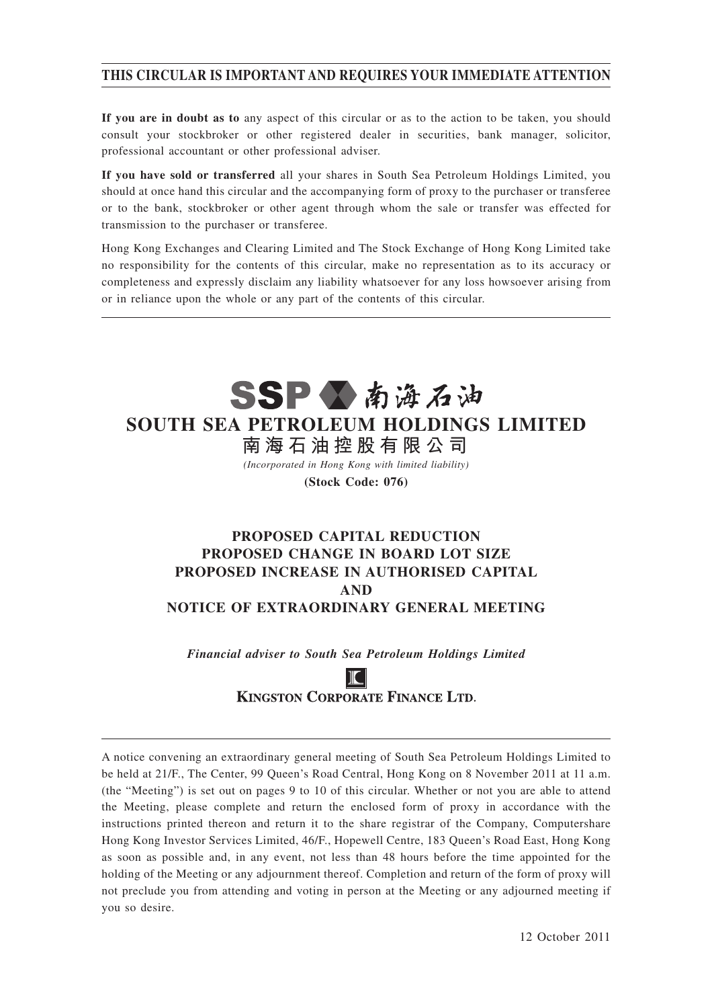## **THIS CIRCULAR IS IMPORTANT AND REQUIRES YOUR IMMEDIATE ATTENTION**

**If you are in doubt as to** any aspect of this circular or as to the action to be taken, you should consult your stockbroker or other registered dealer in securities, bank manager, solicitor, professional accountant or other professional adviser.

**If you have sold or transferred** all your shares in South Sea Petroleum Holdings Limited, you should at once hand this circular and the accompanying form of proxy to the purchaser or transferee or to the bank, stockbroker or other agent through whom the sale or transfer was effected for transmission to the purchaser or transferee.

Hong Kong Exchanges and Clearing Limited and The Stock Exchange of Hong Kong Limited take no responsibility for the contents of this circular, make no representation as to its accuracy or completeness and expressly disclaim any liability whatsoever for any loss howsoever arising from or in reliance upon the whole or any part of the contents of this circular.



**SOUTH SEA PETROLEUM HOLDINGS LIMITED**

**南 海 石 油 控 股 有 限 公 司** *(Incorporated in Hong Kong with limited liability)*

**(Stock Code: 076)**

## **PROPOSED CAPITAL REDUCTION PROPOSED CHANGE IN BOARD LOT SIZE PROPOSED INCREASE IN AUTHORISED CAPITAL AND NOTICE OF EXTRAORDINARY GENERAL MEETING**

*Financial adviser to South Sea Petroleum Holdings Limited*

**KINGSTON CORPORATE FINANCE LTD.** 

A notice convening an extraordinary general meeting of South Sea Petroleum Holdings Limited to be held at 21/F., The Center, 99 Queen's Road Central, Hong Kong on 8 November 2011 at 11 a.m. (the "Meeting") is set out on pages 9 to 10 of this circular. Whether or not you are able to attend the Meeting, please complete and return the enclosed form of proxy in accordance with the instructions printed thereon and return it to the share registrar of the Company, Computershare Hong Kong Investor Services Limited, 46/F., Hopewell Centre, 183 Queen's Road East, Hong Kong as soon as possible and, in any event, not less than 48 hours before the time appointed for the holding of the Meeting or any adjournment thereof. Completion and return of the form of proxy will not preclude you from attending and voting in person at the Meeting or any adjourned meeting if you so desire.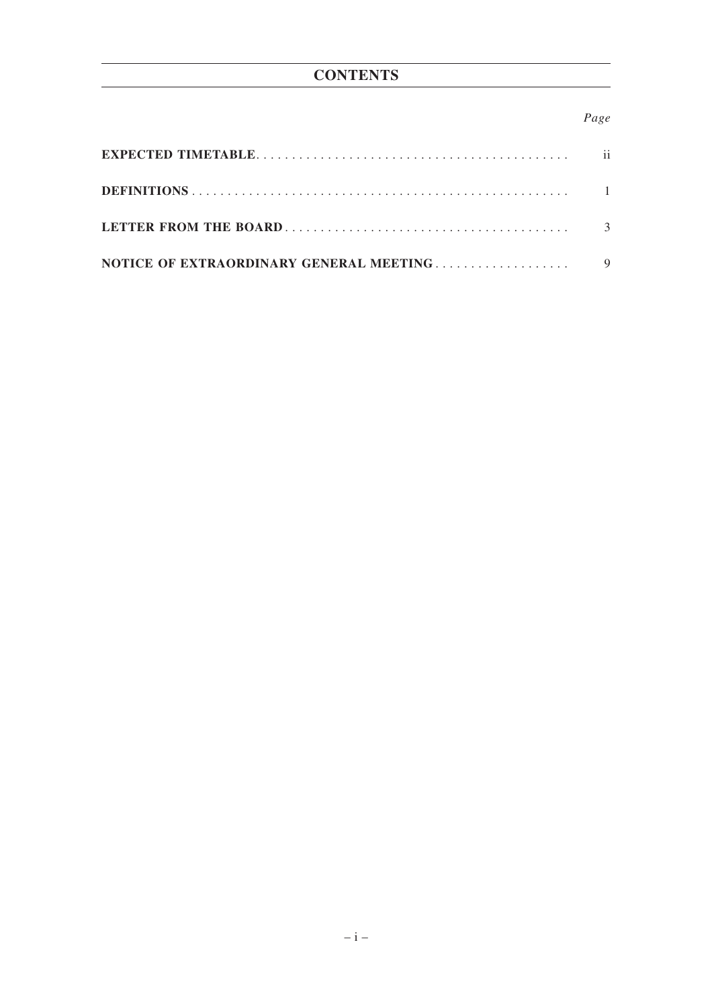# **CONTENTS**

## *Page*

|                                         | ii. |
|-----------------------------------------|-----|
|                                         |     |
|                                         |     |
| NOTICE OF EXTRAORDINARY GENERAL MEETING |     |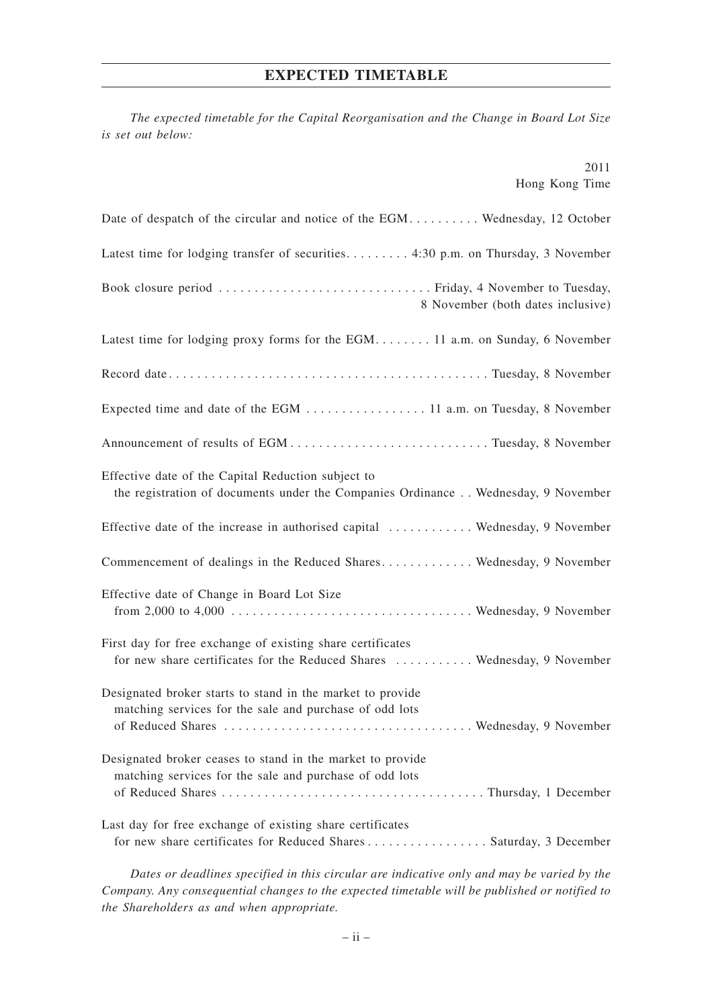### **EXPECTED TIMETABLE**

*The expected timetable for the Capital Reorganisation and the Change in Board Lot Size is set out below:*

|                | 2011 |
|----------------|------|
| Hong Kong Time |      |

| Date of despatch of the circular and notice of the EGM Wednesday, 12 October                                                            |
|-----------------------------------------------------------------------------------------------------------------------------------------|
| Latest time for lodging transfer of securities 4:30 p.m. on Thursday, 3 November                                                        |
| 8 November (both dates inclusive)                                                                                                       |
| Latest time for lodging proxy forms for the EGM 11 a.m. on Sunday, 6 November                                                           |
|                                                                                                                                         |
|                                                                                                                                         |
|                                                                                                                                         |
| Effective date of the Capital Reduction subject to<br>the registration of documents under the Companies Ordinance Wednesday, 9 November |
| Effective date of the increase in authorised capital  Wednesday, 9 November                                                             |
| Commencement of dealings in the Reduced Shares Wednesday, 9 November                                                                    |
| Effective date of Change in Board Lot Size                                                                                              |
| First day for free exchange of existing share certificates<br>for new share certificates for the Reduced Shares  Wednesday, 9 November  |
| Designated broker starts to stand in the market to provide<br>matching services for the sale and purchase of odd lots                   |
| Designated broker ceases to stand in the market to provide<br>matching services for the sale and purchase of odd lots                   |
| Last day for free exchange of existing share certificates<br>for new share certificates for Reduced Shares Saturday, 3 December         |

*Dates or deadlines specified in this circular are indicative only and may be varied by the Company. Any consequential changes to the expected timetable will be published or notified to the Shareholders as and when appropriate.*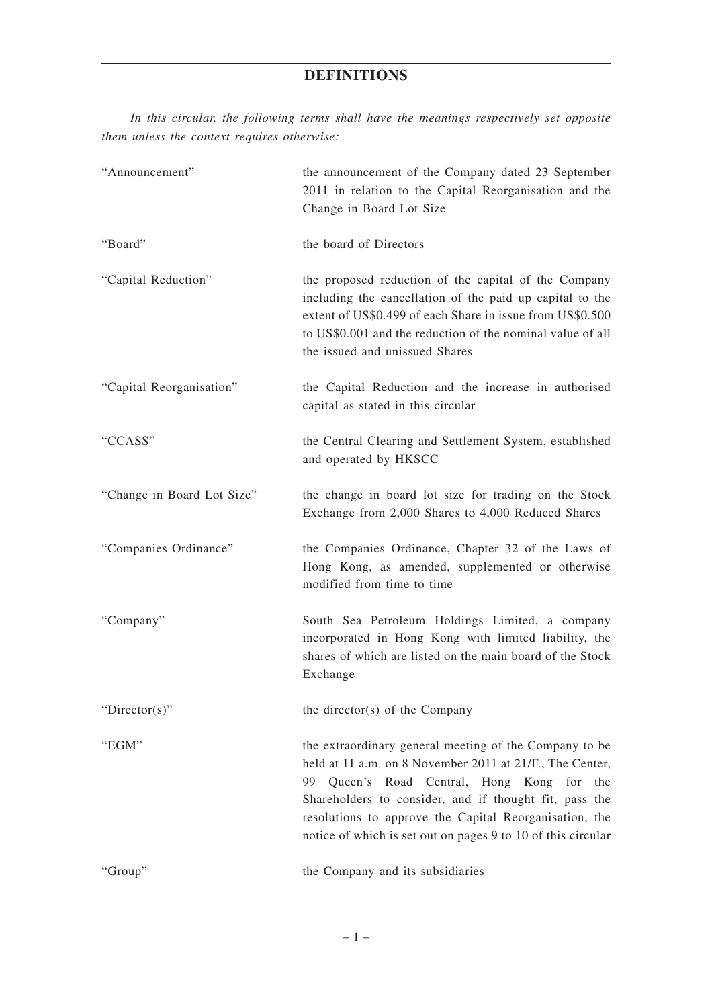*In this circular, the following terms shall have the meanings respectively set opposite them unless the context requires otherwise:*

| "Announcement"             | the announcement of the Company dated 23 September<br>2011 in relation to the Capital Reorganisation and the<br>Change in Board Lot Size                                                                                                                                                                                                             |
|----------------------------|------------------------------------------------------------------------------------------------------------------------------------------------------------------------------------------------------------------------------------------------------------------------------------------------------------------------------------------------------|
| "Board"                    | the board of Directors                                                                                                                                                                                                                                                                                                                               |
| "Capital Reduction"        | the proposed reduction of the capital of the Company<br>including the cancellation of the paid up capital to the<br>extent of US\$0.499 of each Share in issue from US\$0.500<br>to US\$0.001 and the reduction of the nominal value of all<br>the issued and unissued Shares                                                                        |
| "Capital Reorganisation"   | the Capital Reduction and the increase in authorised<br>capital as stated in this circular                                                                                                                                                                                                                                                           |
| "CCASS"                    | the Central Clearing and Settlement System, established<br>and operated by HKSCC                                                                                                                                                                                                                                                                     |
| "Change in Board Lot Size" | the change in board lot size for trading on the Stock<br>Exchange from 2,000 Shares to 4,000 Reduced Shares                                                                                                                                                                                                                                          |
| "Companies Ordinance"      | the Companies Ordinance, Chapter 32 of the Laws of<br>Hong Kong, as amended, supplemented or otherwise<br>modified from time to time                                                                                                                                                                                                                 |
| "Company"                  | South Sea Petroleum Holdings Limited, a company<br>incorporated in Hong Kong with limited liability, the<br>shares of which are listed on the main board of the Stock<br>Exchange                                                                                                                                                                    |
| "Director(s)"              | the director(s) of the Company                                                                                                                                                                                                                                                                                                                       |
| "EGM"                      | the extraordinary general meeting of the Company to be<br>held at 11 a.m. on 8 November 2011 at 21/F., The Center,<br>99 Queen's Road Central, Hong Kong for the<br>Shareholders to consider, and if thought fit, pass the<br>resolutions to approve the Capital Reorganisation, the<br>notice of which is set out on pages 9 to 10 of this circular |
| "Group"                    | the Company and its subsidiaries                                                                                                                                                                                                                                                                                                                     |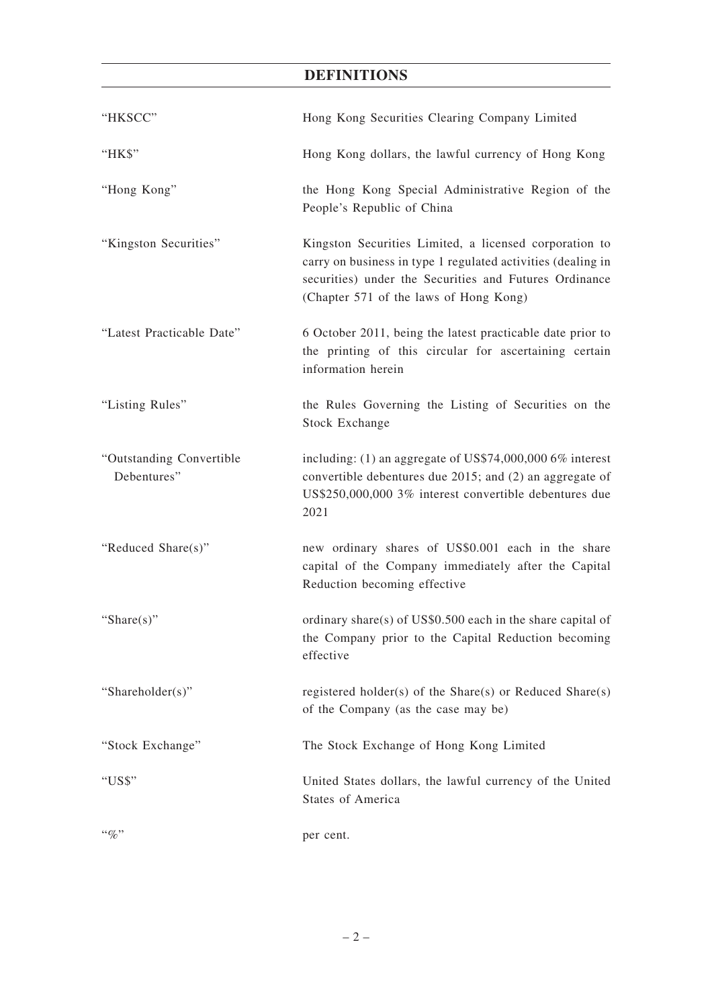# **DEFINITIONS**

| "HKSCC"                                 | Hong Kong Securities Clearing Company Limited                                                                                                                                                                              |
|-----------------------------------------|----------------------------------------------------------------------------------------------------------------------------------------------------------------------------------------------------------------------------|
| "HK\$"                                  | Hong Kong dollars, the lawful currency of Hong Kong                                                                                                                                                                        |
| "Hong Kong"                             | the Hong Kong Special Administrative Region of the<br>People's Republic of China                                                                                                                                           |
| "Kingston Securities"                   | Kingston Securities Limited, a licensed corporation to<br>carry on business in type 1 regulated activities (dealing in<br>securities) under the Securities and Futures Ordinance<br>(Chapter 571 of the laws of Hong Kong) |
| "Latest Practicable Date"               | 6 October 2011, being the latest practicable date prior to<br>the printing of this circular for ascertaining certain<br>information herein                                                                                 |
| "Listing Rules"                         | the Rules Governing the Listing of Securities on the<br><b>Stock Exchange</b>                                                                                                                                              |
| "Outstanding Convertible<br>Debentures" | including: $(1)$ an aggregate of US\$74,000,000 6% interest<br>convertible debentures due 2015; and (2) an aggregate of<br>US\$250,000,000 3% interest convertible debentures due<br>2021                                  |
| "Reduced Share(s)"                      | new ordinary shares of US\$0.001 each in the share<br>capital of the Company immediately after the Capital<br>Reduction becoming effective                                                                                 |
| "Share $(s)$ "                          | ordinary share(s) of $US$0.500$ each in the share capital of<br>the Company prior to the Capital Reduction becoming<br>effective                                                                                           |
| "Shareholder(s)"                        | registered holder(s) of the Share(s) or Reduced Share(s)<br>of the Company (as the case may be)                                                                                                                            |
| "Stock Exchange"                        | The Stock Exchange of Hong Kong Limited                                                                                                                                                                                    |
| "US\$"                                  | United States dollars, the lawful currency of the United<br><b>States of America</b>                                                                                                                                       |
| $\lq\lq q_0$ "                          | per cent.                                                                                                                                                                                                                  |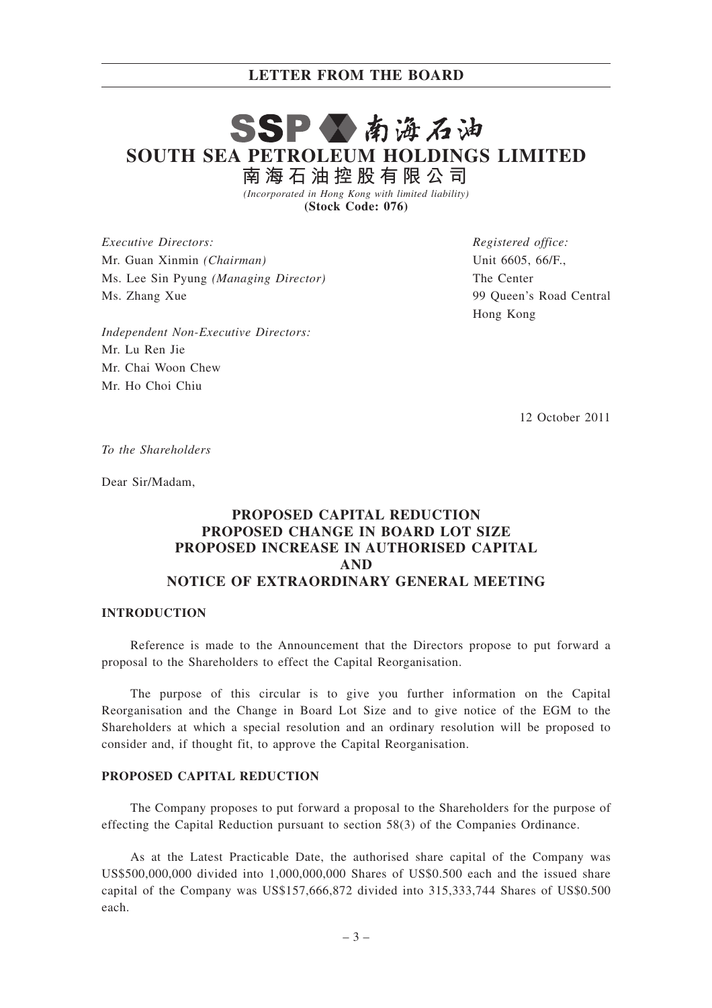# SSPV南海石油 **SOUTH SEA PETROLEUM HOLDINGS LIMITED 南 海 石 油 控 股 有 限 公 司**

*(Incorporated in Hong Kong with limited liability)* **(Stock Code: 076)**

*Executive Directors:* Mr. Guan Xinmin *(Chairman)* Ms. Lee Sin Pyung *(Managing Director)* Ms. Zhang Xue

*Registered office:* Unit 6605, 66/F., The Center 99 Queen's Road Central Hong Kong

*Independent Non-Executive Directors:* Mr. Lu Ren Jie Mr. Chai Woon Chew Mr. Ho Choi Chiu

12 October 2011

*To the Shareholders*

Dear Sir/Madam,

## **PROPOSED CAPITAL REDUCTION PROPOSED CHANGE IN BOARD LOT SIZE PROPOSED INCREASE IN AUTHORISED CAPITAL AND NOTICE OF EXTRAORDINARY GENERAL MEETING**

## **INTRODUCTION**

Reference is made to the Announcement that the Directors propose to put forward a proposal to the Shareholders to effect the Capital Reorganisation.

The purpose of this circular is to give you further information on the Capital Reorganisation and the Change in Board Lot Size and to give notice of the EGM to the Shareholders at which a special resolution and an ordinary resolution will be proposed to consider and, if thought fit, to approve the Capital Reorganisation.

#### **PROPOSED CAPITAL REDUCTION**

The Company proposes to put forward a proposal to the Shareholders for the purpose of effecting the Capital Reduction pursuant to section 58(3) of the Companies Ordinance.

As at the Latest Practicable Date, the authorised share capital of the Company was US\$500,000,000 divided into 1,000,000,000 Shares of US\$0.500 each and the issued share capital of the Company was US\$157,666,872 divided into 315,333,744 Shares of US\$0.500 each.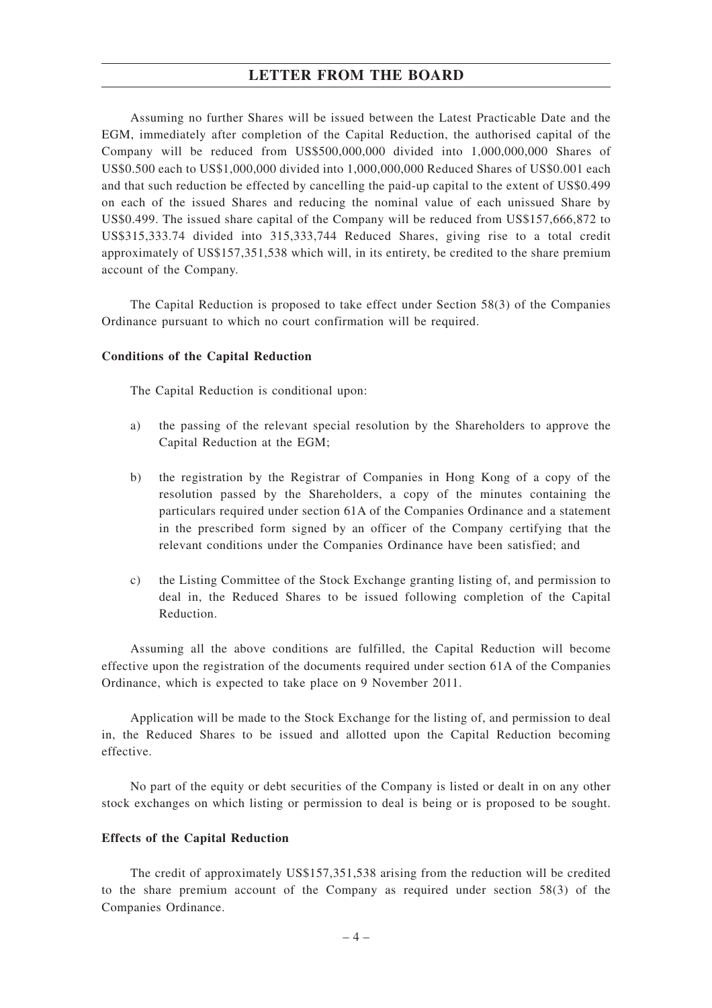Assuming no further Shares will be issued between the Latest Practicable Date and the EGM, immediately after completion of the Capital Reduction, the authorised capital of the Company will be reduced from US\$500,000,000 divided into 1,000,000,000 Shares of US\$0.500 each to US\$1,000,000 divided into 1,000,000,000 Reduced Shares of US\$0.001 each and that such reduction be effected by cancelling the paid-up capital to the extent of US\$0.499 on each of the issued Shares and reducing the nominal value of each unissued Share by US\$0.499. The issued share capital of the Company will be reduced from US\$157,666,872 to US\$315,333.74 divided into 315,333,744 Reduced Shares, giving rise to a total credit approximately of US\$157,351,538 which will, in its entirety, be credited to the share premium account of the Company.

The Capital Reduction is proposed to take effect under Section 58(3) of the Companies Ordinance pursuant to which no court confirmation will be required.

#### **Conditions of the Capital Reduction**

The Capital Reduction is conditional upon:

- a) the passing of the relevant special resolution by the Shareholders to approve the Capital Reduction at the EGM;
- b) the registration by the Registrar of Companies in Hong Kong of a copy of the resolution passed by the Shareholders, a copy of the minutes containing the particulars required under section 61A of the Companies Ordinance and a statement in the prescribed form signed by an officer of the Company certifying that the relevant conditions under the Companies Ordinance have been satisfied; and
- c) the Listing Committee of the Stock Exchange granting listing of, and permission to deal in, the Reduced Shares to be issued following completion of the Capital Reduction.

Assuming all the above conditions are fulfilled, the Capital Reduction will become effective upon the registration of the documents required under section 61A of the Companies Ordinance, which is expected to take place on 9 November 2011.

Application will be made to the Stock Exchange for the listing of, and permission to deal in, the Reduced Shares to be issued and allotted upon the Capital Reduction becoming effective.

No part of the equity or debt securities of the Company is listed or dealt in on any other stock exchanges on which listing or permission to deal is being or is proposed to be sought.

#### **Effects of the Capital Reduction**

The credit of approximately US\$157,351,538 arising from the reduction will be credited to the share premium account of the Company as required under section 58(3) of the Companies Ordinance.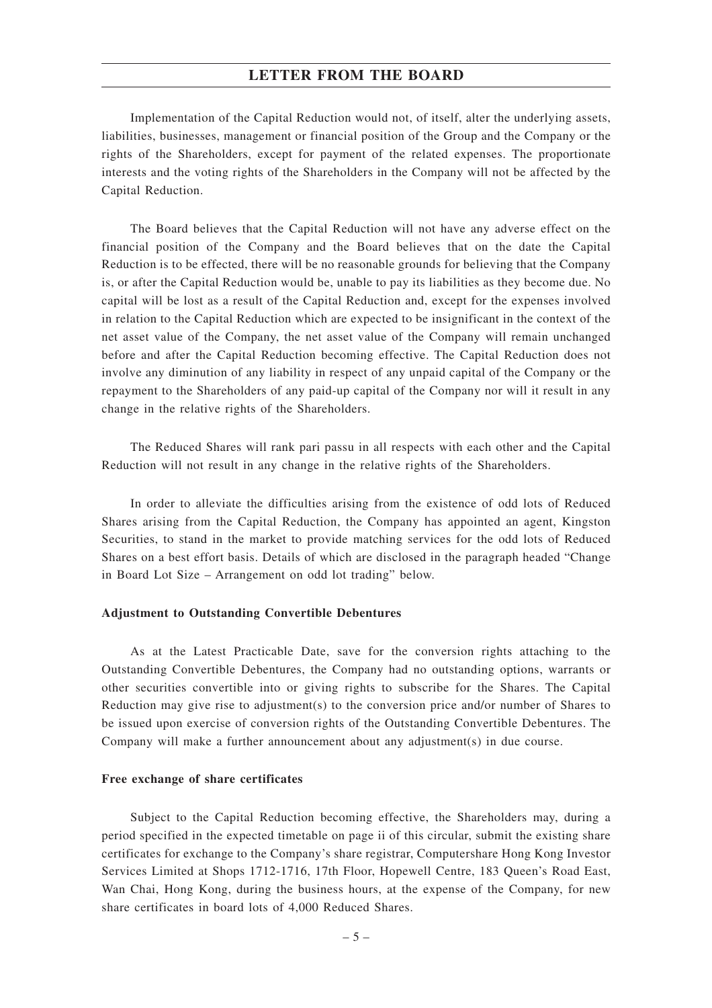Implementation of the Capital Reduction would not, of itself, alter the underlying assets, liabilities, businesses, management or financial position of the Group and the Company or the rights of the Shareholders, except for payment of the related expenses. The proportionate interests and the voting rights of the Shareholders in the Company will not be affected by the Capital Reduction.

The Board believes that the Capital Reduction will not have any adverse effect on the financial position of the Company and the Board believes that on the date the Capital Reduction is to be effected, there will be no reasonable grounds for believing that the Company is, or after the Capital Reduction would be, unable to pay its liabilities as they become due. No capital will be lost as a result of the Capital Reduction and, except for the expenses involved in relation to the Capital Reduction which are expected to be insignificant in the context of the net asset value of the Company, the net asset value of the Company will remain unchanged before and after the Capital Reduction becoming effective. The Capital Reduction does not involve any diminution of any liability in respect of any unpaid capital of the Company or the repayment to the Shareholders of any paid-up capital of the Company nor will it result in any change in the relative rights of the Shareholders.

The Reduced Shares will rank pari passu in all respects with each other and the Capital Reduction will not result in any change in the relative rights of the Shareholders.

In order to alleviate the difficulties arising from the existence of odd lots of Reduced Shares arising from the Capital Reduction, the Company has appointed an agent, Kingston Securities, to stand in the market to provide matching services for the odd lots of Reduced Shares on a best effort basis. Details of which are disclosed in the paragraph headed "Change in Board Lot Size – Arrangement on odd lot trading" below.

#### **Adjustment to Outstanding Convertible Debentures**

As at the Latest Practicable Date, save for the conversion rights attaching to the Outstanding Convertible Debentures, the Company had no outstanding options, warrants or other securities convertible into or giving rights to subscribe for the Shares. The Capital Reduction may give rise to adjustment(s) to the conversion price and/or number of Shares to be issued upon exercise of conversion rights of the Outstanding Convertible Debentures. The Company will make a further announcement about any adjustment(s) in due course.

#### **Free exchange of share certificates**

Subject to the Capital Reduction becoming effective, the Shareholders may, during a period specified in the expected timetable on page ii of this circular, submit the existing share certificates for exchange to the Company's share registrar, Computershare Hong Kong Investor Services Limited at Shops 1712-1716, 17th Floor, Hopewell Centre, 183 Queen's Road East, Wan Chai, Hong Kong, during the business hours, at the expense of the Company, for new share certificates in board lots of 4,000 Reduced Shares.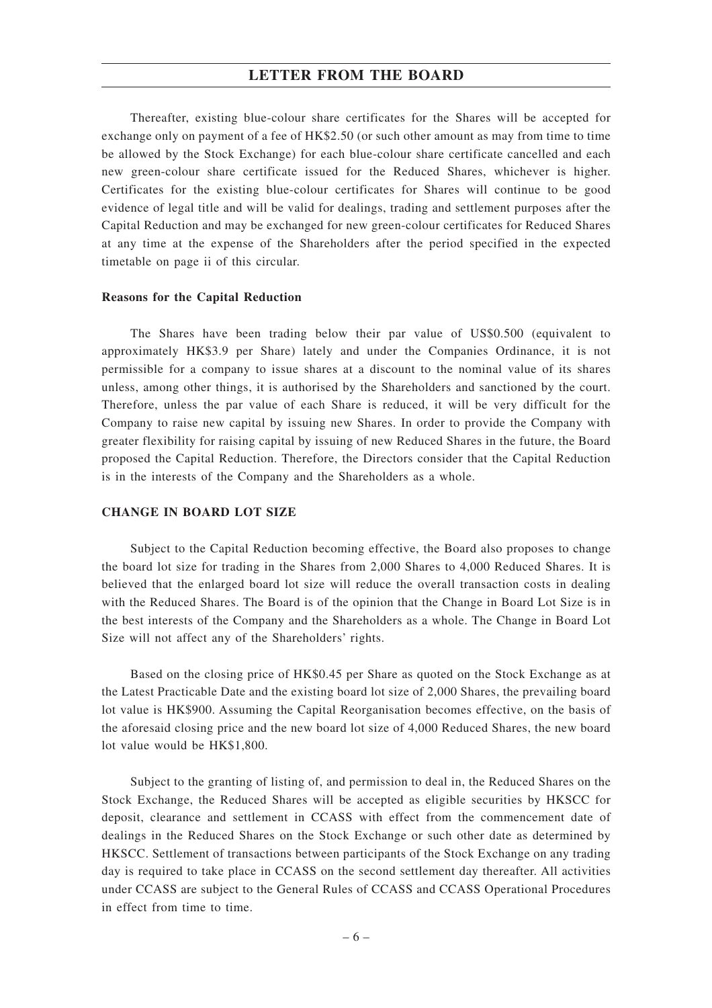Thereafter, existing blue-colour share certificates for the Shares will be accepted for exchange only on payment of a fee of HK\$2.50 (or such other amount as may from time to time be allowed by the Stock Exchange) for each blue-colour share certificate cancelled and each new green-colour share certificate issued for the Reduced Shares, whichever is higher. Certificates for the existing blue-colour certificates for Shares will continue to be good evidence of legal title and will be valid for dealings, trading and settlement purposes after the Capital Reduction and may be exchanged for new green-colour certificates for Reduced Shares at any time at the expense of the Shareholders after the period specified in the expected timetable on page ii of this circular.

#### **Reasons for the Capital Reduction**

The Shares have been trading below their par value of US\$0.500 (equivalent to approximately HK\$3.9 per Share) lately and under the Companies Ordinance, it is not permissible for a company to issue shares at a discount to the nominal value of its shares unless, among other things, it is authorised by the Shareholders and sanctioned by the court. Therefore, unless the par value of each Share is reduced, it will be very difficult for the Company to raise new capital by issuing new Shares. In order to provide the Company with greater flexibility for raising capital by issuing of new Reduced Shares in the future, the Board proposed the Capital Reduction. Therefore, the Directors consider that the Capital Reduction is in the interests of the Company and the Shareholders as a whole.

#### **CHANGE IN BOARD LOT SIZE**

Subject to the Capital Reduction becoming effective, the Board also proposes to change the board lot size for trading in the Shares from 2,000 Shares to 4,000 Reduced Shares. It is believed that the enlarged board lot size will reduce the overall transaction costs in dealing with the Reduced Shares. The Board is of the opinion that the Change in Board Lot Size is in the best interests of the Company and the Shareholders as a whole. The Change in Board Lot Size will not affect any of the Shareholders' rights.

Based on the closing price of HK\$0.45 per Share as quoted on the Stock Exchange as at the Latest Practicable Date and the existing board lot size of 2,000 Shares, the prevailing board lot value is HK\$900. Assuming the Capital Reorganisation becomes effective, on the basis of the aforesaid closing price and the new board lot size of 4,000 Reduced Shares, the new board lot value would be HK\$1,800.

Subject to the granting of listing of, and permission to deal in, the Reduced Shares on the Stock Exchange, the Reduced Shares will be accepted as eligible securities by HKSCC for deposit, clearance and settlement in CCASS with effect from the commencement date of dealings in the Reduced Shares on the Stock Exchange or such other date as determined by HKSCC. Settlement of transactions between participants of the Stock Exchange on any trading day is required to take place in CCASS on the second settlement day thereafter. All activities under CCASS are subject to the General Rules of CCASS and CCASS Operational Procedures in effect from time to time.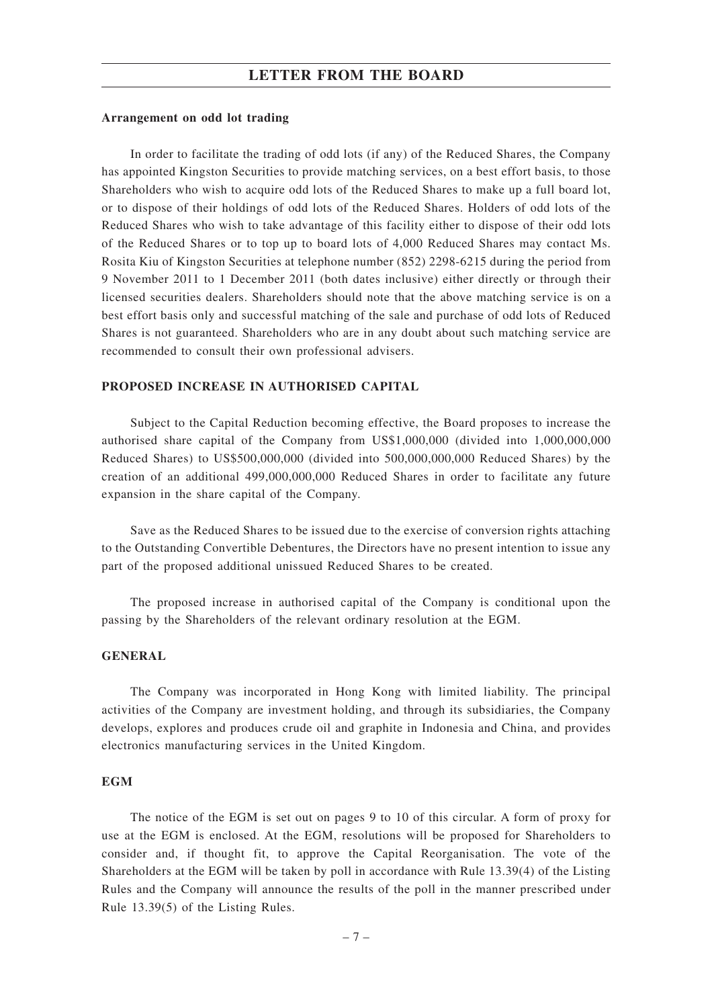#### **Arrangement on odd lot trading**

In order to facilitate the trading of odd lots (if any) of the Reduced Shares, the Company has appointed Kingston Securities to provide matching services, on a best effort basis, to those Shareholders who wish to acquire odd lots of the Reduced Shares to make up a full board lot, or to dispose of their holdings of odd lots of the Reduced Shares. Holders of odd lots of the Reduced Shares who wish to take advantage of this facility either to dispose of their odd lots of the Reduced Shares or to top up to board lots of 4,000 Reduced Shares may contact Ms. Rosita Kiu of Kingston Securities at telephone number (852) 2298-6215 during the period from 9 November 2011 to 1 December 2011 (both dates inclusive) either directly or through their licensed securities dealers. Shareholders should note that the above matching service is on a best effort basis only and successful matching of the sale and purchase of odd lots of Reduced Shares is not guaranteed. Shareholders who are in any doubt about such matching service are recommended to consult their own professional advisers.

#### **PROPOSED INCREASE IN AUTHORISED CAPITAL**

Subject to the Capital Reduction becoming effective, the Board proposes to increase the authorised share capital of the Company from US\$1,000,000 (divided into 1,000,000,000 Reduced Shares) to US\$500,000,000 (divided into 500,000,000,000 Reduced Shares) by the creation of an additional 499,000,000,000 Reduced Shares in order to facilitate any future expansion in the share capital of the Company.

Save as the Reduced Shares to be issued due to the exercise of conversion rights attaching to the Outstanding Convertible Debentures, the Directors have no present intention to issue any part of the proposed additional unissued Reduced Shares to be created.

The proposed increase in authorised capital of the Company is conditional upon the passing by the Shareholders of the relevant ordinary resolution at the EGM.

#### **GENERAL**

The Company was incorporated in Hong Kong with limited liability. The principal activities of the Company are investment holding, and through its subsidiaries, the Company develops, explores and produces crude oil and graphite in Indonesia and China, and provides electronics manufacturing services in the United Kingdom.

#### **EGM**

The notice of the EGM is set out on pages 9 to 10 of this circular. A form of proxy for use at the EGM is enclosed. At the EGM, resolutions will be proposed for Shareholders to consider and, if thought fit, to approve the Capital Reorganisation. The vote of the Shareholders at the EGM will be taken by poll in accordance with Rule 13.39(4) of the Listing Rules and the Company will announce the results of the poll in the manner prescribed under Rule 13.39(5) of the Listing Rules.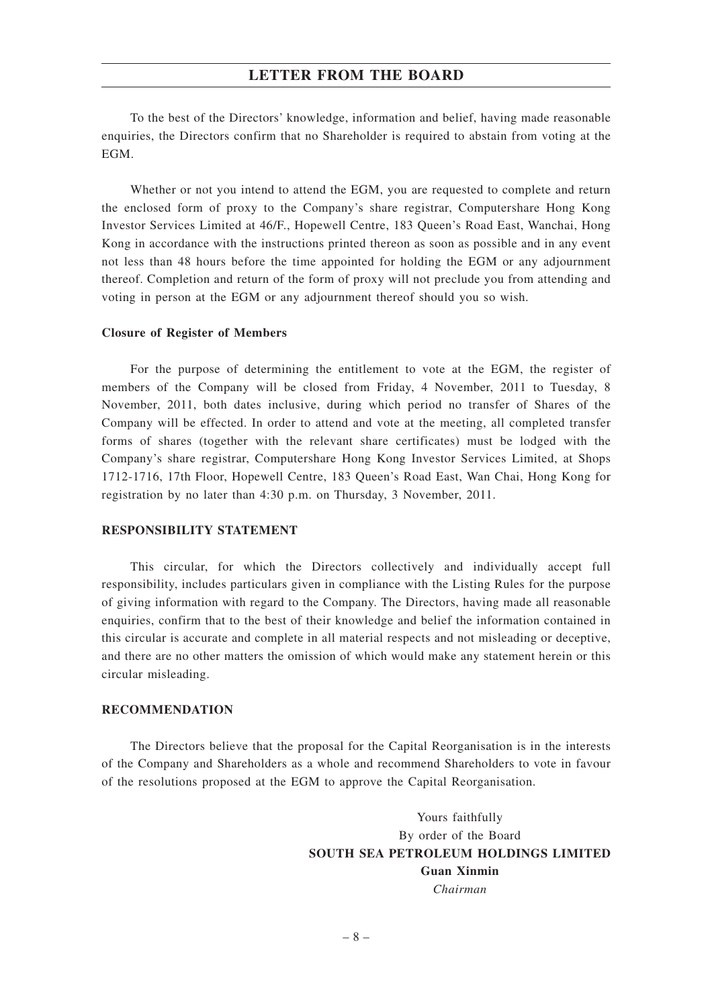To the best of the Directors' knowledge, information and belief, having made reasonable enquiries, the Directors confirm that no Shareholder is required to abstain from voting at the EGM.

Whether or not you intend to attend the EGM, you are requested to complete and return the enclosed form of proxy to the Company's share registrar, Computershare Hong Kong Investor Services Limited at 46/F., Hopewell Centre, 183 Queen's Road East, Wanchai, Hong Kong in accordance with the instructions printed thereon as soon as possible and in any event not less than 48 hours before the time appointed for holding the EGM or any adjournment thereof. Completion and return of the form of proxy will not preclude you from attending and voting in person at the EGM or any adjournment thereof should you so wish.

#### **Closure of Register of Members**

For the purpose of determining the entitlement to vote at the EGM, the register of members of the Company will be closed from Friday, 4 November, 2011 to Tuesday, 8 November, 2011, both dates inclusive, during which period no transfer of Shares of the Company will be effected. In order to attend and vote at the meeting, all completed transfer forms of shares (together with the relevant share certificates) must be lodged with the Company's share registrar, Computershare Hong Kong Investor Services Limited, at Shops 1712-1716, 17th Floor, Hopewell Centre, 183 Queen's Road East, Wan Chai, Hong Kong for registration by no later than 4:30 p.m. on Thursday, 3 November, 2011.

#### **RESPONSIBILITY STATEMENT**

This circular, for which the Directors collectively and individually accept full responsibility, includes particulars given in compliance with the Listing Rules for the purpose of giving information with regard to the Company. The Directors, having made all reasonable enquiries, confirm that to the best of their knowledge and belief the information contained in this circular is accurate and complete in all material respects and not misleading or deceptive, and there are no other matters the omission of which would make any statement herein or this circular misleading.

#### **RECOMMENDATION**

The Directors believe that the proposal for the Capital Reorganisation is in the interests of the Company and Shareholders as a whole and recommend Shareholders to vote in favour of the resolutions proposed at the EGM to approve the Capital Reorganisation.

> Yours faithfully By order of the Board **SOUTH SEA PETROLEUM HOLDINGS LIMITED Guan Xinmin** *Chairman*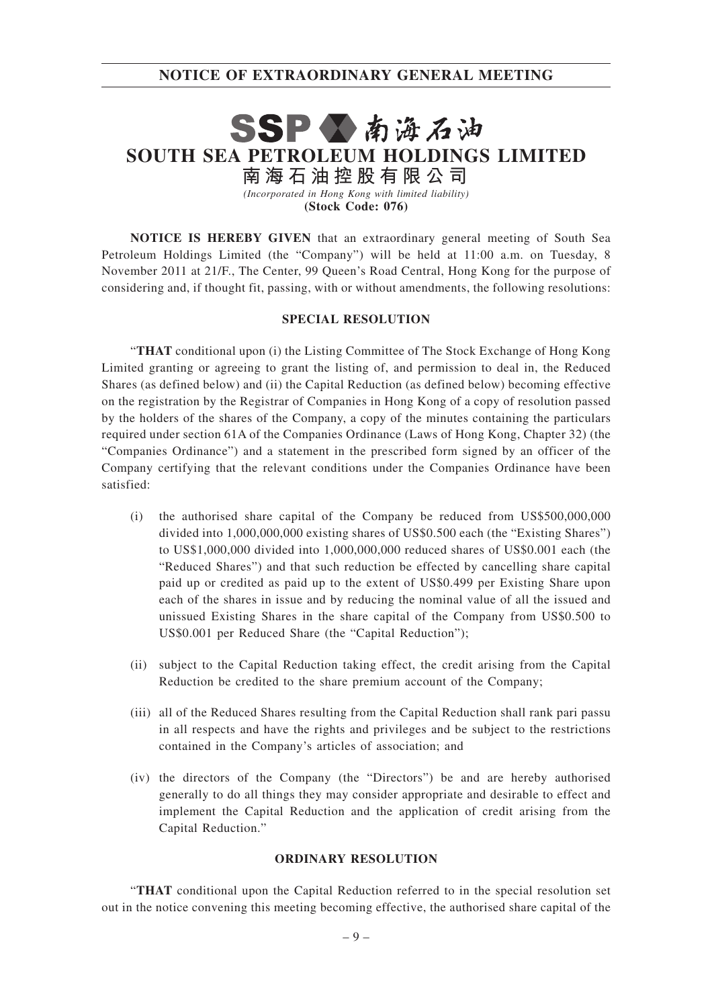## **NOTICE OF EXTRAORDINARY GENERAL MEETING**

# SSP公南海石油 **SOUTH SEA PETROLEUM HOLDINGS LIMITED 南 海 石 油 控 股 有 限 公 司**

*(Incorporated in Hong Kong with limited liability)* **(Stock Code: 076)**

**NOTICE IS HEREBY GIVEN** that an extraordinary general meeting of South Sea Petroleum Holdings Limited (the "Company") will be held at 11:00 a.m. on Tuesday, 8 November 2011 at 21/F., The Center, 99 Queen's Road Central, Hong Kong for the purpose of considering and, if thought fit, passing, with or without amendments, the following resolutions:

#### **SPECIAL RESOLUTION**

"**THAT** conditional upon (i) the Listing Committee of The Stock Exchange of Hong Kong Limited granting or agreeing to grant the listing of, and permission to deal in, the Reduced Shares (as defined below) and (ii) the Capital Reduction (as defined below) becoming effective on the registration by the Registrar of Companies in Hong Kong of a copy of resolution passed by the holders of the shares of the Company, a copy of the minutes containing the particulars required under section 61A of the Companies Ordinance (Laws of Hong Kong, Chapter 32) (the "Companies Ordinance") and a statement in the prescribed form signed by an officer of the Company certifying that the relevant conditions under the Companies Ordinance have been satisfied:

- (i) the authorised share capital of the Company be reduced from US\$500,000,000 divided into 1,000,000,000 existing shares of US\$0.500 each (the "Existing Shares") to US\$1,000,000 divided into 1,000,000,000 reduced shares of US\$0.001 each (the "Reduced Shares") and that such reduction be effected by cancelling share capital paid up or credited as paid up to the extent of US\$0.499 per Existing Share upon each of the shares in issue and by reducing the nominal value of all the issued and unissued Existing Shares in the share capital of the Company from US\$0.500 to US\$0.001 per Reduced Share (the "Capital Reduction");
- (ii) subject to the Capital Reduction taking effect, the credit arising from the Capital Reduction be credited to the share premium account of the Company;
- (iii) all of the Reduced Shares resulting from the Capital Reduction shall rank pari passu in all respects and have the rights and privileges and be subject to the restrictions contained in the Company's articles of association; and
- (iv) the directors of the Company (the "Directors") be and are hereby authorised generally to do all things they may consider appropriate and desirable to effect and implement the Capital Reduction and the application of credit arising from the Capital Reduction."

#### **ORDINARY RESOLUTION**

"**THAT** conditional upon the Capital Reduction referred to in the special resolution set out in the notice convening this meeting becoming effective, the authorised share capital of the